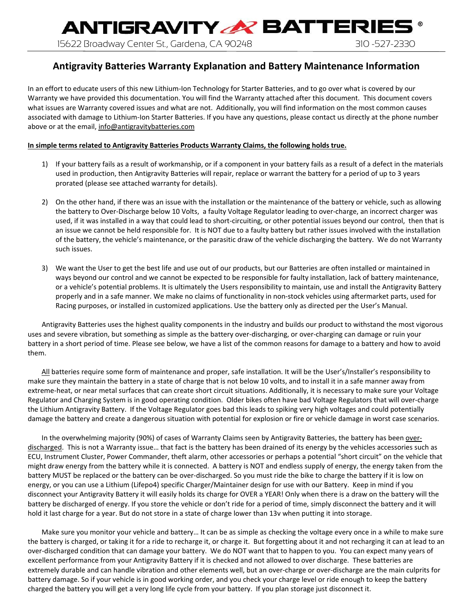**ANTIGRAVITY & BATTERIE!** 15622 Broadway Center St., Gardena, CA 90248 310 -527-2330

### **Antigravity Batteries Warranty Explanation and Battery Maintenance Information**

In an effort to educate users of this new Lithium-Ion Technology for Starter Batteries, and to go over what is covered by our Warranty we have provided this documentation. You will find the Warranty attached after this document. This document covers what issues are Warranty covered issues and what are not. Additionally, you will find information on the most common causes associated with damage to Lithium‐Ion Starter Batteries. If you have any questions, please contact us directly at the phone number above or at the email, info@antigravitybatteries.com

#### **In simple terms related to Antigravity Batteries Products Warranty Claims, the following holds true.**

- 1) If your battery fails as a result of workmanship, or if a component in your battery fails as a result of a defect in the materials used in production, then Antigravity Batteries will repair, replace or warrant the battery for a period of up to 3 years prorated (please see attached warranty for details).
- 2) On the other hand, if there was an issue with the installation or the maintenance of the battery or vehicle, such as allowing the battery to Over‐Discharge below 10 Volts, a faulty Voltage Regulator leading to over‐charge, an incorrect charger was used, if it was installed in a way that could lead to short-circuiting, or other potential issues beyond our control, then that is an issue we cannot be held responsible for. It is NOT due to a faulty battery but rather issues involved with the installation of the battery, the vehicle's maintenance, or the parasitic draw of the vehicle discharging the battery. We do not Warranty such issues.
- 3) We want the User to get the best life and use out of our products, but our Batteries are often installed or maintained in ways beyond our control and we cannot be expected to be responsible for faulty installation, lack of battery maintenance, or a vehicle's potential problems. It is ultimately the Users responsibility to maintain, use and install the Antigravity Battery properly and in a safe manner. We make no claims of functionality in non‐stock vehicles using aftermarket parts, used for Racing purposes, or installed in customized applications. Use the battery only as directed per the User's Manual.

Antigravity Batteries uses the highest quality components in the industry and builds our product to withstand the most vigorous uses and severe vibration, but something as simple as the battery over‐discharging, or over‐charging can damage or ruin your battery in a short period of time. Please see below, we have a list of the common reasons for damage to a battery and how to avoid them.

All batteries require some form of maintenance and proper, safe installation. It will be the User's/Installer's responsibility to make sure they maintain the battery in a state of charge that is not below 10 volts, and to install it in a safe manner away from extreme-heat, or near metal surfaces that can create short circuit situations. Additionally, it is necessary to make sure your Voltage Regulator and Charging System is in good operating condition. Older bikes often have bad Voltage Regulators that will over‐charge the Lithium Antigravity Battery. If the Voltage Regulator goes bad this leads to spiking very high voltages and could potentially damage the battery and create a dangerous situation with potential for explosion or fire or vehicle damage in worst case scenarios.

In the overwhelming majority (90%) of cases of Warranty Claims seen by Antigravity Batteries, the battery has been overdischarged. This is not a Warranty issue… that fact is the battery has been drained of its energy by the vehicles accessories such as ECU, Instrument Cluster, Power Commander, theft alarm, other accessories or perhaps a potential "short circuit" on the vehicle that might draw energy from the battery while it is connected. A battery is NOT and endless supply of energy, the energy taken from the battery MUST be replaced or the battery can be over-discharged. So you must ride the bike to charge the battery if it is low on energy, or you can use a Lithium (Lifepo4) specific Charger/Maintainer design for use with our Battery. Keep in mind if you disconnect your Antigravity Battery it will easily holds its charge for OVER a YEAR! Only when there is a draw on the battery will the battery be discharged of energy. If you store the vehicle or don't ride for a period of time, simply disconnect the battery and it will hold it last charge for a year. But do not store in a state of charge lower than 13v when putting it into storage.

Make sure you monitor your vehicle and battery… It can be as simple as checking the voltage every once in a while to make sure the battery is charged, or taking it for a ride to recharge it, or charge it. But forgetting about it and not recharging it can at lead to an over-discharged condition that can damage your battery. We do NOT want that to happen to you. You can expect many years of excellent performance from your Antigravity Battery if it is checked and not allowed to over discharge. These batteries are extremely durable and can handle vibration and other elements well, but an over-charge or over-discharge are the main culprits for battery damage. So if your vehicle is in good working order, and you check your charge level or ride enough to keep the battery charged the battery you will get a very long life cycle from your battery. If you plan storage just disconnect it.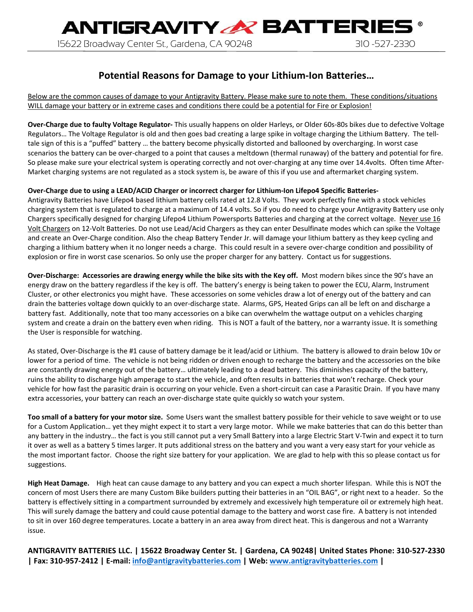## **Potential Reasons for Damage to your Lithium‐Ion Batteries…**

Below are the common causes of damage to your Antigravity Battery. Please make sure to note them. These conditions/situations WILL damage your battery or in extreme cases and conditions there could be a potential for Fire or Explosion!

**Over‐Charge due to faulty Voltage Regulator‐** This usually happens on older Harleys, or Older 60s‐80s bikes due to defective Voltage Regulators… The Voltage Regulator is old and then goes bad creating a large spike in voltage charging the Lithium Battery. The tell‐ tale sign of this is a "puffed" battery … the battery become physically distorted and ballooned by overcharging. In worst case scenarios the battery can be over-charged to a point that causes a meltdown (thermal runaway) of the battery and potential for fire. So please make sure your electrical system is operating correctly and not over-charging at any time over 14.4volts. Often time After-Market charging systems are not regulated as a stock system is, be aware of this if you use and aftermarket charging system.

#### **Over‐Charge due to using a LEAD/ACID Charger or incorrect charger for Lithium‐Ion Lifepo4 Specific Batteries‐**

Antigravity Batteries have Lifepo4 based lithium battery cells rated at 12.8 Volts. They work perfectly fine with a stock vehicles charging system that is regulated to charge at a maximum of 14.4 volts. So if you do need to charge your Antigravity Battery use only Chargers specifically designed for charging Lifepo4 Lithium Powersports Batteries and charging at the correct voltage. Never use 16 Volt Chargers on 12‐Volt Batteries. Do not use Lead/Acid Chargers as they can enter Desulfinate modes which can spike the Voltage and create an Over‐Charge condition. Also the cheap Battery Tender Jr. will damage your lithium battery as they keep cycling and charging a lithium battery when it no longer needs a charge. This could result in a severe over‐charge condition and possibility of explosion or fire in worst case scenarios. So only use the proper charger for any battery. Contact us for suggestions.

**Over‐Discharge: Accessories are drawing energy while the bike sits with the Key off.** Most modern bikes since the 90's have an energy draw on the battery regardless if the key is off. The battery's energy is being taken to power the ECU, Alarm, Instrument Cluster, or other electronics you might have. These accessories on some vehicles draw a lot of energy out of the battery and can drain the batteries voltage down quickly to an over‐discharge state. Alarms, GPS, Heated Grips can all be left on and discharge a battery fast. Additionally, note that too many accessories on a bike can overwhelm the wattage output on a vehicles charging system and create a drain on the battery even when riding. This is NOT a fault of the battery, nor a warranty issue. It is something the User is responsible for watching.

As stated, Over‐Discharge is the #1 cause of battery damage be it lead/acid or Lithium. The battery is allowed to drain below 10v or lower for a period of time. The vehicle is not being ridden or driven enough to recharge the battery and the accessories on the bike are constantly drawing energy out of the battery… ultimately leading to a dead battery. This diminishes capacity of the battery, ruins the ability to discharge high amperage to start the vehicle, and often results in batteries that won't recharge. Check your vehicle for how fast the parasitic drain is occurring on your vehicle. Even a short‐circuit can case a Parasitic Drain. If you have many extra accessories, your battery can reach an over‐discharge state quite quickly so watch your system.

**Too small of a battery for your motor size.**  Some Users want the smallest battery possible for their vehicle to save weight or to use for a Custom Application… yet they might expect it to start a very large motor. While we make batteries that can do this better than any battery in the industry… the fact is you still cannot put a very Small Battery into a large Electric Start V‐Twin and expect it to turn it over as well as a battery 5 times larger. It puts additional stress on the battery and you want a very easy start for your vehicle as the most important factor. Choose the right size battery for your application. We are glad to help with this so please contact us for suggestions.

**High Heat Damage.**  High heat can cause damage to any battery and you can expect a much shorter lifespan. While this is NOT the concern of most Users there are many Custom Bike builders putting their batteries in an "OIL BAG", or right next to a header. So the battery is effectively sitting in a compartment surrounded by extremely and excessively high temperature oil or extremely high heat. This will surely damage the battery and could cause potential damage to the battery and worst case fire. A battery is not intended to sit in over 160 degree temperatures. Locate a battery in an area away from direct heat. This is dangerous and not a Warranty issue.

**ANTIGRAVITY BATTERIES LLC. | 15622 Broadway Center St. | Gardena, CA 90248| United States Phone: 310‐527‐2330 | Fax: 310‐957‐2412 | E‐mail: info@antigravitybatteries.com | Web: www.antigravitybatteries.com |**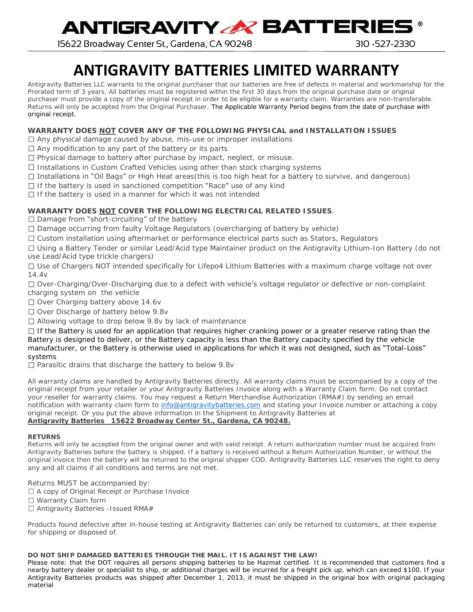**ANTIGRAVITY & BATTERIES** 

15622 Broadway Center St., Gardena, CA 90248 310 -527-2330

# **ANTIGRAVITY BATTERIES LIMITED WARRANTY**

Antigravity Batteries LLC warrants to the original purchaser that our batteries are free of defects in material and workmanship for the Prorated term of 3 years. All batteries must be registered within the first 30 days from the original purchase date or original purchaser must provide a copy of the original receipt in order to be eligible for a warranty claim. Warranties are non-transferable. Returns will only be accepted from the Original Purchaser. The Applicable Warranty Period begins from the date of purchase with original receipt.

**WARRANTY DOES NOT COVER ANY OF THE FOLLOWING PHYSICAL and INSTALLATION ISSUES** 

Any physical damage caused by abuse, mis-use or improper installations

 $\Box$  Any modification to any part of the battery or its parts

 $\square$  Physical damage to battery after purchase by impact, neglect, or misuse.

 $\Box$  Installations in Custom Crafted Vehicles using other than stock charging systems

 $\Box$  Installations in "Oil Bags" or High Heat areas(this is too high heat for a battery to survive, and dangerous)

 $\Box$  If the battery is used in sanctioned competition "Race" use of any kind

 $\Box$  If the battery is used in a manner for which it was not intended

**WARRANTY DOES NOT COVER THE FOLLOWING ELECTRICAL RELATED ISSUES**.

#### $\Box$  Damage from "short-circuiting" of the battery

Damage occurring from faulty Voltage Regulators (overcharging of battery by vehicle)

Custom installation using aftermarket or performance electrical parts such as Stators, Regulators

Using a Battery Tender or similar Lead/Acid type Maintainer product on the Antigravity Lithium-Ion Battery (do not use Lead/Acid type trickle chargers)

Use of Chargers NOT intended specifically for Lifepo4 Lithium Batteries with a maximum charge voltage not over  $14M$ 

Over-Charging/Over-Discharging due to a defect with vehicle's voltage regulator or defective or non-complaint charging system on the vehicle

□ Over Charging battery above 14.6v

 $\Box$  Over Discharge of battery below 9.8v

□ Allowing voltage to drop below 9.8v by lack of maintenance

If the Battery is used for an application that requires higher cranking power or a greater reserve rating than the Battery is designed to deliver, or the Battery capacity is less than the Battery capacity specified by the vehicle manufacturer, or the Battery is otherwise used in applications for which it was not designed, such as "Total-Loss" systems

 $\Box$  Parasitic drains that discharge the battery to below 9.8v

All warranty claims are handled by Antigravity Batteries directly. All warranty claims must be accompanied by a copy of the original receipt from your retailer or your Antigravity Batteries Invoice along with a Warranty Claim form. Do not contact your reseller for warranty claims. You may request a Return Merchandise Authorization (RMA#) by sending an email notification with warranty claim form to [info@antigravitybatteries.com](mailto:info@antigravitybatteries.com) and stating your Invoice number or attaching a copy original receipt. Or you put the above information in the Shipment to Antigravity Batteries at **Antigravity Batteries 15622 Broadway Center St., Gardena, CA 90248.**

**RETURNS**

Returns will only be accepted from the original owner and with valid receipt. A return authorization number must be acquired from Antigravity Batteries before the battery is shipped. If a battery is received without a Return Authorization Number, or without the original invoice then the battery will be returned to the original shipper COD. Antigravity Batteries LLC reserves the right to deny any and all claims if all conditions and terms are not met.

Returns MUST be accompanied by:

□ A copy of Original Receipt or Purchase Invoice

□ Warranty Claim form

□ Antigravity Batteries -Issued RMA#

Products found defective after in-house testing at Antigravity Batteries can only be returned to customers, at their expense for shipping or disposed of.

#### *DO NOT SHIP DAMAGED BATTERIES THROUGH THE MAIL. IT IS AGAINST THE LAW!*

Please note: that the DOT requires all persons shipping batteries to be Hazmat certified. It is recommended that customers find a nearby battery dealer or specialist to ship, or additional charges will be incurred for a freight pick up, which can exceed \$100. If your Antigravity Batteries products was shipped after December 1, 2013, it must be shipped in the original box with original packaging material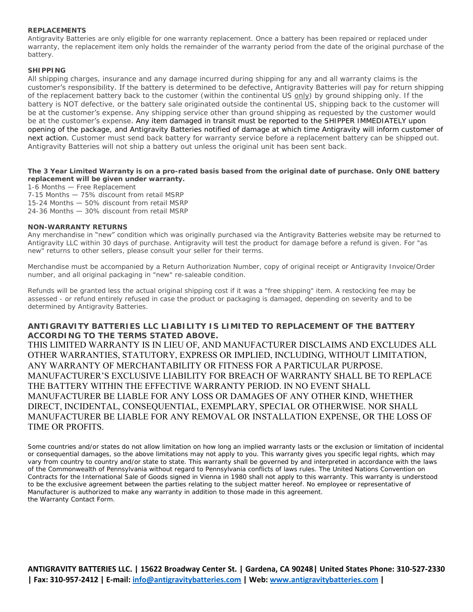#### **REPLACEMENTS**

Antigravity Batteries are only eligible for one warranty replacement. Once a battery has been repaired or replaced under warranty, the replacement item only holds the remainder of the warranty period from the date of the original purchase of the battery.

#### **SHIPPING**

All shipping charges, insurance and any damage incurred during shipping for any and all warranty claims is the customer's responsibility. If the battery is determined to be defective, Antigravity Batteries will pay for return shipping of the replacement battery back to the customer (within the continental US only) by ground shipping only. If the battery is NOT defective, or the battery sale originated outside the continental US, shipping back to the customer will be at the customer's expense. Any shipping service other than ground shipping as requested by the customer would be at the customer's expense. Any item damaged in transit must be reported to the SHIPPER IMMEDIATELY upon opening of the package, and Antigravity Batteries notified of damage at which time Antigravity will inform customer of next action. Customer must send back battery for warranty service before a replacement battery can be shipped out. Antigravity Batteries will not ship a battery out unless the original unit has been sent back.

**The 3 Year Limited Warranty is on a pro-rated basis based from the original date of purchase. Only ONE battery replacement will be given under warranty.** 

1-6 Months — Free Replacement

7-15 Months — 75% discount from retail MSRP 15-24 Months — 50% discount from retail MSRP

24-36 Months — 30% discount from retail MSRP

#### **NON-WARRANTY RETURNS**

Any merchandise in "new" condition which was originally purchased via the Antigravity Batteries website may be returned to Antigravity LLC within 30 days of purchase. Antigravity will test the product for damage before a refund is given. For "as new" returns to other sellers, please consult your seller for their terms.

Merchandise must be accompanied by a Return Authorization Number, copy of original receipt or Antigravity Invoice/Order number, and all original packaging in "new" re-saleable condition.

Refunds will be granted less the actual original shipping cost if it was a "free shipping" item. A restocking fee may be assessed - or refund entirely refused in case the product or packaging is damaged, depending on severity and to be determined by Antigravity Batteries.

#### **ANTIGRAVITY BATTERIES LLC LIABILITY IS LIMITED TO REPLACEMENT OF THE BATTERY ACCORDING TO THE TERMS STATED ABOVE.**

THIS LIMITED WARRANTY IS IN LIEU OF, AND MANUFACTURER DISCLAIMS AND EXCLUDES ALL OTHER WARRANTIES, STATUTORY, EXPRESS OR IMPLIED, INCLUDING, WITHOUT LIMITATION, ANY WARRANTY OF MERCHANTABILITY OR FITNESS FOR A PARTICULAR PURPOSE. MANUFACTURER'S EXCLUSIVE LIABILITY FOR BREACH OF WARRANTY SHALL BE TO REPLACE THE BATTERY WITHIN THE EFFECTIVE WARRANTY PERIOD. IN NO EVENT SHALL MANUFACTURER BE LIABLE FOR ANY LOSS OR DAMAGES OF ANY OTHER KIND, WHETHER DIRECT, INCIDENTAL, CONSEQUENTIAL, EXEMPLARY, SPECIAL OR OTHERWISE. NOR SHALL MANUFACTURER BE LIABLE FOR ANY REMOVAL OR INSTALLATION EXPENSE, OR THE LOSS OF TIME OR PROFITS.

Some countries and/or states do not allow limitation on how long an implied warranty lasts or the exclusion or limitation of incidental or consequential damages, so the above limitations may not apply to you. This warranty gives you specific legal rights, which may vary from country to country and/or state to state. This warranty shall be governed by and interpreted in accordance with the laws of the Commonwealth of Pennsylvania without regard to Pennsylvania conflicts of laws rules. The United Nations Convention on Contracts for the International Sale of Goods signed in Vienna in 1980 shall not apply to this warranty. This warranty is understood to be the exclusive agreement between the parties relating to the subject matter hereof. No employee or representative of Manufacturer is authorized to make any warranty in addition to those made in this agreement. the Warranty Contact Form.